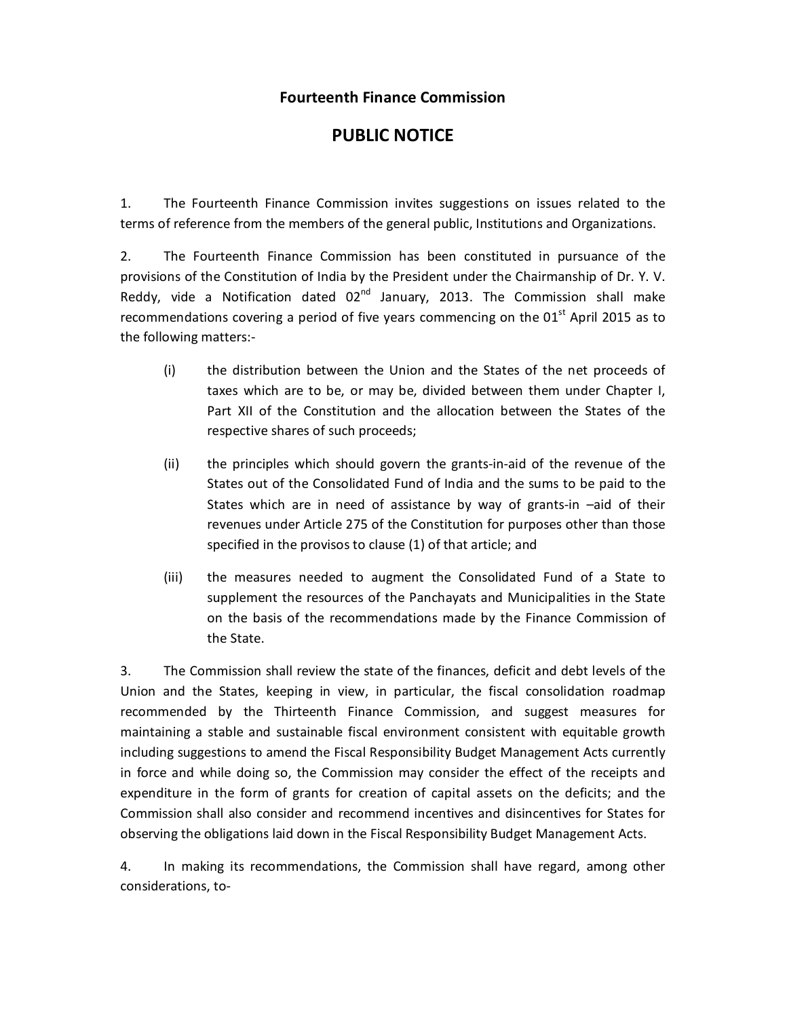## **Fourteenth Finance Commission**

## **PUBLIC NOTICE**

1. The Fourteenth Finance Commission invites suggestions on issues related to the terms of reference from the members of the general public, Institutions and Organizations.

2. The Fourteenth Finance Commission has been constituted in pursuance of the provisions of the Constitution of India by the President under the Chairmanship of Dr. Y. V. Reddy, vide a Notification dated  $02<sup>nd</sup>$  January, 2013. The Commission shall make recommendations covering a period of five years commencing on the  $01<sup>st</sup>$  April 2015 as to the following matters:-

- (i) the distribution between the Union and the States of the net proceeds of taxes which are to be, or may be, divided between them under Chapter I, Part XII of the Constitution and the allocation between the States of the respective shares of such proceeds;
- (ii) the principles which should govern the grants-in-aid of the revenue of the States out of the Consolidated Fund of India and the sums to be paid to the States which are in need of assistance by way of grants-in –aid of their revenues under Article 275 of the Constitution for purposes other than those specified in the provisos to clause (1) of that article; and
- (iii) the measures needed to augment the Consolidated Fund of a State to supplement the resources of the Panchayats and Municipalities in the State on the basis of the recommendations made by the Finance Commission of the State.

3. The Commission shall review the state of the finances, deficit and debt levels of the Union and the States, keeping in view, in particular, the fiscal consolidation roadmap recommended by the Thirteenth Finance Commission, and suggest measures for maintaining a stable and sustainable fiscal environment consistent with equitable growth including suggestions to amend the Fiscal Responsibility Budget Management Acts currently in force and while doing so, the Commission may consider the effect of the receipts and expenditure in the form of grants for creation of capital assets on the deficits; and the Commission shall also consider and recommend incentives and disincentives for States for observing the obligations laid down in the Fiscal Responsibility Budget Management Acts.

4. In making its recommendations, the Commission shall have regard, among other considerations, to-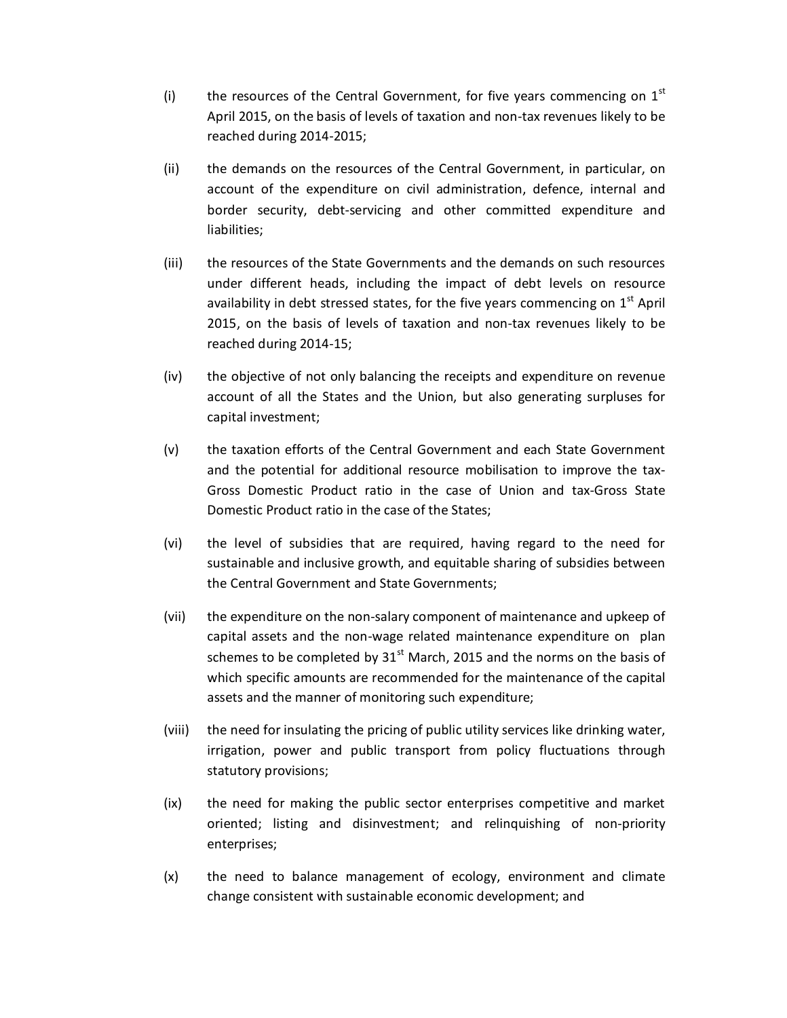- (i) the resources of the Central Government, for five years commencing on  $1<sup>st</sup>$ April 2015, on the basis of levels of taxation and non-tax revenues likely to be reached during 2014-2015;
- (ii) the demands on the resources of the Central Government, in particular, on account of the expenditure on civil administration, defence, internal and border security, debt-servicing and other committed expenditure and liabilities;
- (iii) the resources of the State Governments and the demands on such resources under different heads, including the impact of debt levels on resource availability in debt stressed states, for the five years commencing on  $1<sup>st</sup>$  April 2015, on the basis of levels of taxation and non-tax revenues likely to be reached during 2014-15;
- (iv) the objective of not only balancing the receipts and expenditure on revenue account of all the States and the Union, but also generating surpluses for capital investment;
- (v) the taxation efforts of the Central Government and each State Government and the potential for additional resource mobilisation to improve the tax-Gross Domestic Product ratio in the case of Union and tax-Gross State Domestic Product ratio in the case of the States;
- (vi) the level of subsidies that are required, having regard to the need for sustainable and inclusive growth, and equitable sharing of subsidies between the Central Government and State Governments;
- (vii) the expenditure on the non-salary component of maintenance and upkeep of capital assets and the non-wage related maintenance expenditure on plan schemes to be completed by  $31<sup>st</sup>$  March, 2015 and the norms on the basis of which specific amounts are recommended for the maintenance of the capital assets and the manner of monitoring such expenditure;
- (viii) the need for insulating the pricing of public utility services like drinking water, irrigation, power and public transport from policy fluctuations through statutory provisions;
- (ix) the need for making the public sector enterprises competitive and market oriented; listing and disinvestment; and relinquishing of non-priority enterprises;
- (x) the need to balance management of ecology, environment and climate change consistent with sustainable economic development; and